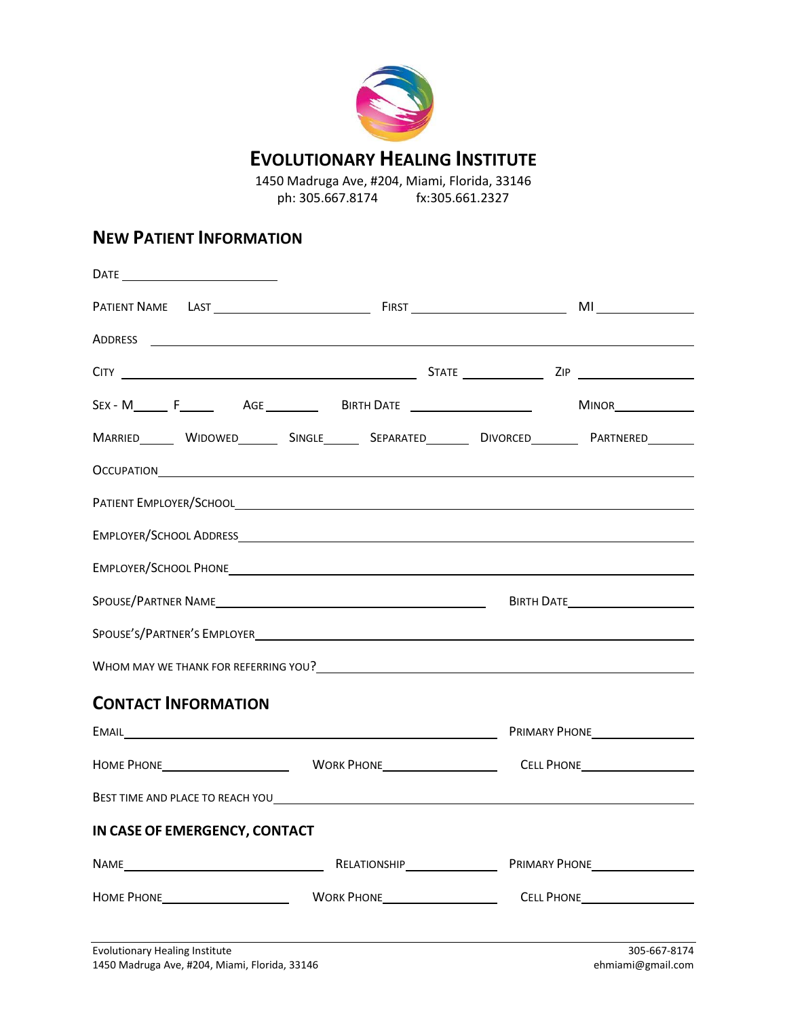

## **EVOLUTIONARY HEALING INSTITUTE**

1450 Madruga Ave, #204, Miami, Florida, 33146 ph: 305.667.8174 fx:305.661.2327

## **NEW PATIENT INFORMATION**

| Married_______ Widowed________ Single_______ Separated_________ Divorced_________ Partnered________            |  |  |  |  |  |  |
|----------------------------------------------------------------------------------------------------------------|--|--|--|--|--|--|
|                                                                                                                |  |  |  |  |  |  |
|                                                                                                                |  |  |  |  |  |  |
|                                                                                                                |  |  |  |  |  |  |
| EMPLOYER/SCHOOL PHONE CONTENTS TO A REPORT OF THE CONTENT OF THE CONTENTS OF THE CONTENTS OF THE CONTENTS OF T |  |  |  |  |  |  |
|                                                                                                                |  |  |  |  |  |  |
|                                                                                                                |  |  |  |  |  |  |
|                                                                                                                |  |  |  |  |  |  |
| <b>CONTACT INFORMATION</b>                                                                                     |  |  |  |  |  |  |
|                                                                                                                |  |  |  |  |  |  |
|                                                                                                                |  |  |  |  |  |  |
| BEST TIME AND PLACE TO REACH YOU CONTROL CONTROL CONTROL CONTROL CONTROL CONTROL CONTROL CONTROL CONTROL CONTR |  |  |  |  |  |  |
| IN CASE OF EMERGENCY, CONTACT                                                                                  |  |  |  |  |  |  |
|                                                                                                                |  |  |  |  |  |  |
|                                                                                                                |  |  |  |  |  |  |
|                                                                                                                |  |  |  |  |  |  |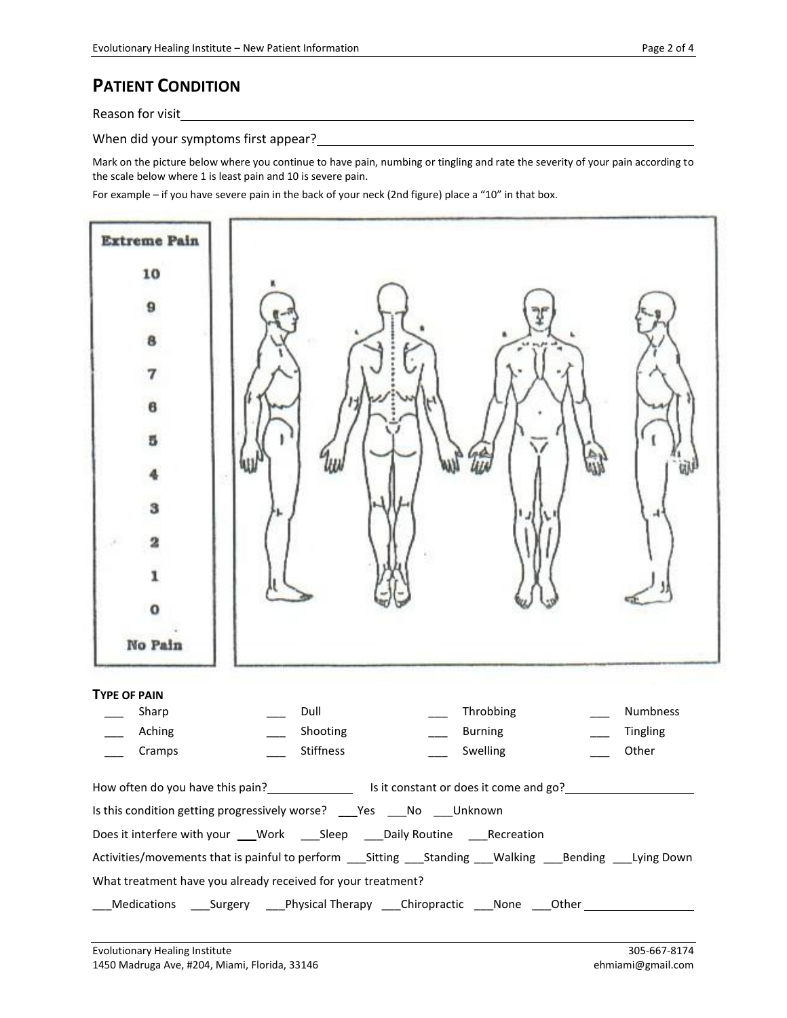## **PATIENT CONDITION**

Reason for visit

When did your symptoms first appear?<br>
<u>
When did your symptoms first appear?</u>

Mark on the picture below where you continue to have pain, numbing or tingling and rate the severity of your pain according to the scale below where 1 is least pain and 10 is severe pain.

For example – if you have severe pain in the back of your neck (2nd figure) place a "10" in that box.

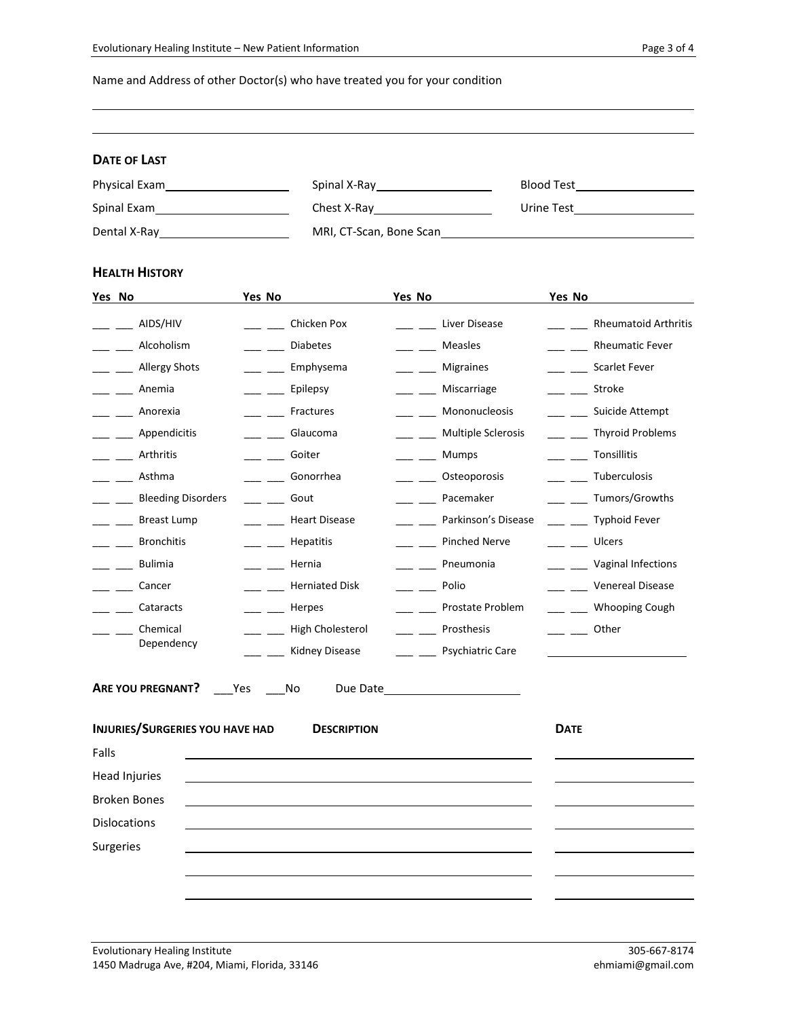## Name and Address of other Doctor(s) who have treated you for your condition

| <b>DATE OF LAST</b>                    |                                           |                                     |                                                                                                                 |  |
|----------------------------------------|-------------------------------------------|-------------------------------------|-----------------------------------------------------------------------------------------------------------------|--|
| Physical Exam________________________  |                                           | Spinal X-Ray<br><u>Spinal X-Ray</u> |                                                                                                                 |  |
| Spinal Exam<br><u>Spinal Exam</u>      |                                           | Chest X-Ray ______________________  | Urine Test and the Urine Test of the Urine Test of the Urine State of the Urine State of the Urine State of the |  |
|                                        |                                           | MRI, CT-Scan, Bone Scan             |                                                                                                                 |  |
|                                        |                                           |                                     |                                                                                                                 |  |
| <b>HEALTH HISTORY</b>                  |                                           |                                     |                                                                                                                 |  |
| Yes No                                 | Yes No                                    | Yes No                              | Yes No                                                                                                          |  |
| $\frac{1}{2}$ $\frac{1}{2}$ AIDS/HIV   | Chicken Pox                               | Liver Disease                       | <b>Rheumatoid Arthritis</b>                                                                                     |  |
| ___ ____ Alcoholism                    | $\frac{1}{\sqrt{1-\frac{1}{2}}}$ Diabetes | <b>Measles</b>                      | __ __ Rheumatic Fever                                                                                           |  |
| ___ ___ Allergy Shots                  | ___ ___ Emphysema                         | <b>Migraines</b>                    | ___ ___ Scarlet Fever                                                                                           |  |
| ___ ____ Anemia                        | Epilepsy                                  | ___ ___ Miscarriage                 | <b>Stroke</b>                                                                                                   |  |
| ___ ___ Anorexia                       | __ Fractures                              | ___ ___ Mononucleosis               | ___ ___ Suicide Attempt                                                                                         |  |
| ___ ___ Appendicitis                   | __ ___ Glaucoma                           | __ ___ Multiple Sclerosis           | ___ ___ Thyroid Problems                                                                                        |  |
| ___ ____ Arthritis                     | <b>Goiter</b>                             | Mumps                               | Tonsillitis                                                                                                     |  |
| Asthma                                 | Gonorrhea                                 | Osteoporosis                        | ___ ___ Tuberculosis                                                                                            |  |
| __ __ Bleeding Disorders               | <b>Gout</b>                               | Pacemaker                           | Tumors/Growths                                                                                                  |  |
| ___ ___ Breast Lump                    | ___ ___ Heart Disease                     | ___ ___ Parkinson's Disease         | ___ ___ Typhoid Fever                                                                                           |  |
| __ __ Bronchitis                       | ___ Hepatitis                             | __ __ Pinched Nerve                 | $\frac{1}{2}$ $\frac{1}{2}$ Ulcers                                                                              |  |
| ___ ___ Bulimia                        | $\frac{1}{\sqrt{2}}$ Hernia               | __ ___ Pneumonia                    | __ _ Vaginal Infections                                                                                         |  |
| <b>Cancer</b>                          | Herniated Disk                            | $\equiv$ $\equiv$ Polio             | <b>Venereal Disease</b>                                                                                         |  |
| __ __ Cataracts                        | $\frac{1}{\sqrt{1-\frac{1}{2}}}$ Herpes   | Prostate Problem                    | ___ ___ Whooping Cough                                                                                          |  |
| Chemical<br>$\overline{\phantom{a}}$   | High Cholesterol                          | __ Prosthesis                       | <b>Other</b>                                                                                                    |  |
| Dependency                             | Kidney Disease                            | <b>Psychiatric Care</b>             |                                                                                                                 |  |
|                                        |                                           |                                     |                                                                                                                 |  |
| <b>ARE YOU PREGNANT?</b>               | Yes<br>No<br>Due Date                     |                                     |                                                                                                                 |  |
| <b>INJURIES/SURGERIES YOU HAVE HAD</b> | <b>DESCRIPTION</b>                        |                                     | <b>DATE</b>                                                                                                     |  |
| Falls                                  |                                           |                                     |                                                                                                                 |  |
| <b>Head Injuries</b>                   |                                           |                                     |                                                                                                                 |  |
| <b>Broken Bones</b>                    |                                           |                                     |                                                                                                                 |  |
| <b>Dislocations</b>                    |                                           |                                     |                                                                                                                 |  |
| Surgeries                              |                                           |                                     |                                                                                                                 |  |
|                                        |                                           |                                     |                                                                                                                 |  |
|                                        |                                           |                                     |                                                                                                                 |  |
|                                        |                                           |                                     |                                                                                                                 |  |